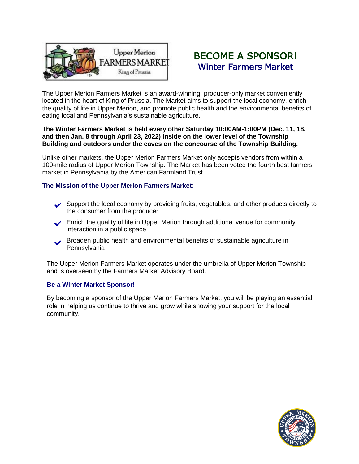

# BECOME A SPONSOR! Winter Farmers Market

The Upper Merion Farmers Market is an award-winning, producer-only market conveniently located in the heart of King of Prussia. The Market aims to support the local economy, enrich the quality of life in Upper Merion, and promote public health and the environmental benefits of eating local and Pennsylvania's sustainable agriculture.

## **The Winter Farmers Market is held every other Saturday 10:00AM-1:00PM (Dec. 11, 18, and then Jan. 8 through April 23, 2022) inside on the lower level of the Township Building and outdoors under the eaves on the concourse of the Township Building.**

Unlike other markets, the Upper Merion Farmers Market only accepts vendors from within a 100-mile radius of Upper Merion Township. The Market has been voted the fourth best farmers market in Pennsylvania by the American Farmland Trust.

# **The Mission of the Upper Merion Farmers Market**:

- ◆ Support the local economy by providing fruits, vegetables, and other products directly to the consumer from the producer the consumer from the producer
- ► Enrich the quality of life in Upper Merion through additional venue for community interaction in a public space interaction in a public space
- Broaden public health and environmental benefits of sustainable agriculture in Pennsylvania ✓

The Upper Merion Farmers Market operates under the umbrella of Upper Merion Township and is overseen by the Farmers Market Advisory Board.

## **Be a Winter Market Sponsor!**

By becoming a sponsor of the Upper Merion Farmers Market, you will be playing an essential role in helping us continue to thrive and grow while showing your support for the local community.